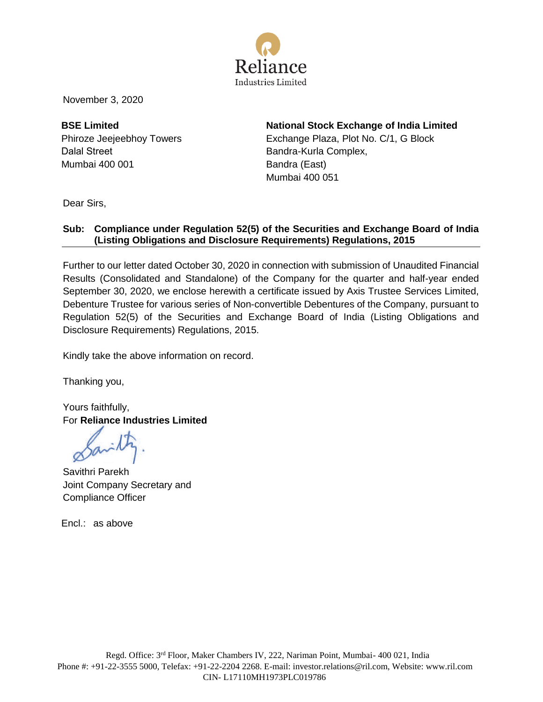

November 3, 2020

**BSE Limited** Phiroze Jeejeebhoy Towers Dalal Street Mumbai 400 001

**National Stock Exchange of India Limited** Exchange Plaza, Plot No. C/1, G Block Bandra-Kurla Complex, Bandra (East) Mumbai 400 051

Dear Sirs,

## **Sub: Compliance under Regulation 52(5) of the Securities and Exchange Board of India (Listing Obligations and Disclosure Requirements) Regulations, 2015**

Further to our letter dated October 30, 2020 in connection with submission of Unaudited Financial Results (Consolidated and Standalone) of the Company for the quarter and half-year ended September 30, 2020, we enclose herewith a certificate issued by Axis Trustee Services Limited, Debenture Trustee for various series of Non-convertible Debentures of the Company, pursuant to Regulation 52(5) of the Securities and Exchange Board of India (Listing Obligations and Disclosure Requirements) Regulations, 2015.

Kindly take the above information on record.

Thanking you,

Yours faithfully, For **Reliance Industries Limited**

Savithri Parekh Joint Company Secretary and Compliance Officer

Encl.: as above